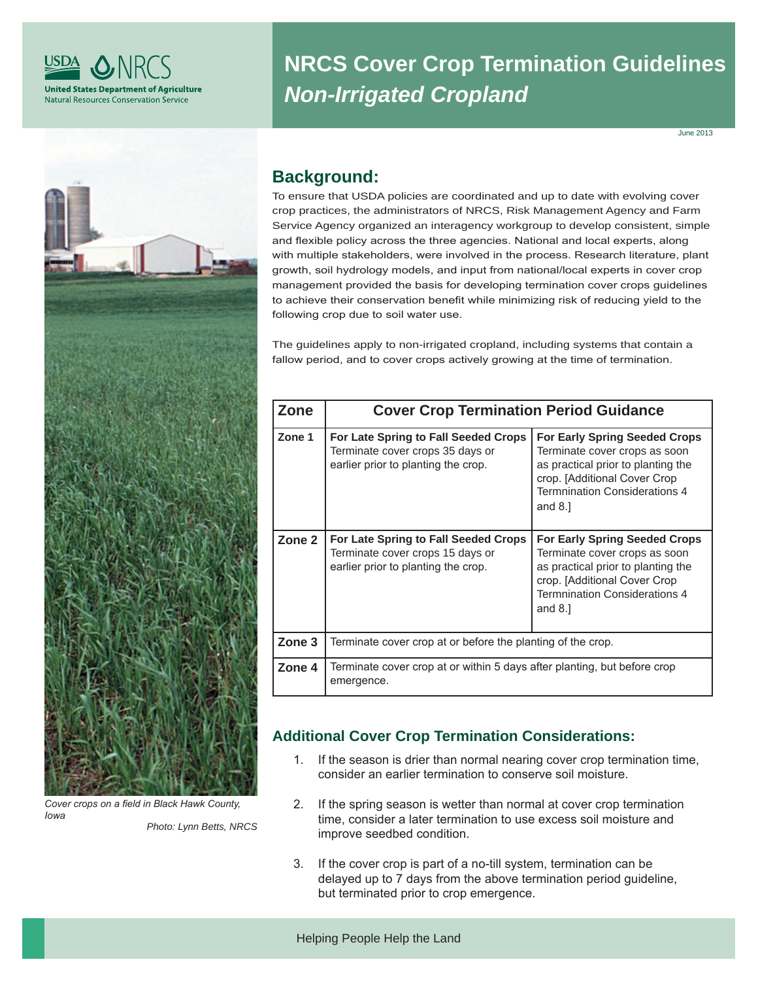

# **NRCS Cover Crop Termination Guidelines**  *Non-Irrigated Cropland*

June 2013



*Photo: Lynn Betts, NRCS Cover crops on a field in Black Hawk County, Iowa*

# **Background:**

To ensure that USDA policies are coordinated and up to date with evolving cover crop practices, the administrators of NRCS, Risk Management Agency and Farm Service Agency organized an interagency workgroup to develop consistent, simple and flexible policy across the three agencies. National and local experts, along with multiple stakeholders, were involved in the process. Research literature, plant growth, soil hydrology models, and input from national/local experts in cover crop management provided the basis for developing termination cover crops guidelines to achieve their conservation benefit while minimizing risk of reducing yield to the following crop due to soil water use.

The guidelines apply to non-irrigated cropland, including systems that contain a fallow period, and to cover crops actively growing at the time of termination.

| Zone   |                                                                                                                 | <b>Cover Crop Termination Period Guidance</b>                                                                                                                                                    |  |  |  |
|--------|-----------------------------------------------------------------------------------------------------------------|--------------------------------------------------------------------------------------------------------------------------------------------------------------------------------------------------|--|--|--|
| Zone 1 | For Late Spring to Fall Seeded Crops<br>Terminate cover crops 35 days or<br>earlier prior to planting the crop. | <b>For Early Spring Seeded Crops</b><br>Terminate cover crops as soon<br>as practical prior to planting the<br>crop. [Additional Cover Crop<br><b>Termnination Considerations 4</b><br>and $8.1$ |  |  |  |
| Zone 2 | For Late Spring to Fall Seeded Crops<br>Terminate cover crops 15 days or<br>earlier prior to planting the crop. | <b>For Early Spring Seeded Crops</b><br>Terminate cover crops as soon<br>as practical prior to planting the<br>crop. [Additional Cover Crop<br><b>Termnination Considerations 4</b><br>and $8.1$ |  |  |  |
| Zone 3 | Terminate cover crop at or before the planting of the crop.                                                     |                                                                                                                                                                                                  |  |  |  |
| Zone 4 | Terminate cover crop at or within 5 days after planting, but before crop<br>emergence.                          |                                                                                                                                                                                                  |  |  |  |

# **Additional Cover Crop Termination Considerations:**

- 1. If the season is drier than normal nearing cover crop termination time, consider an earlier termination to conserve soil moisture.
- 2. If the spring season is wetter than normal at cover crop termination time, consider a later termination to use excess soil moisture and improve seedbed condition.
- 3. If the cover crop is part of a no-till system, termination can be delayed up to 7 days from the above termination period guideline, but terminated prior to crop emergence.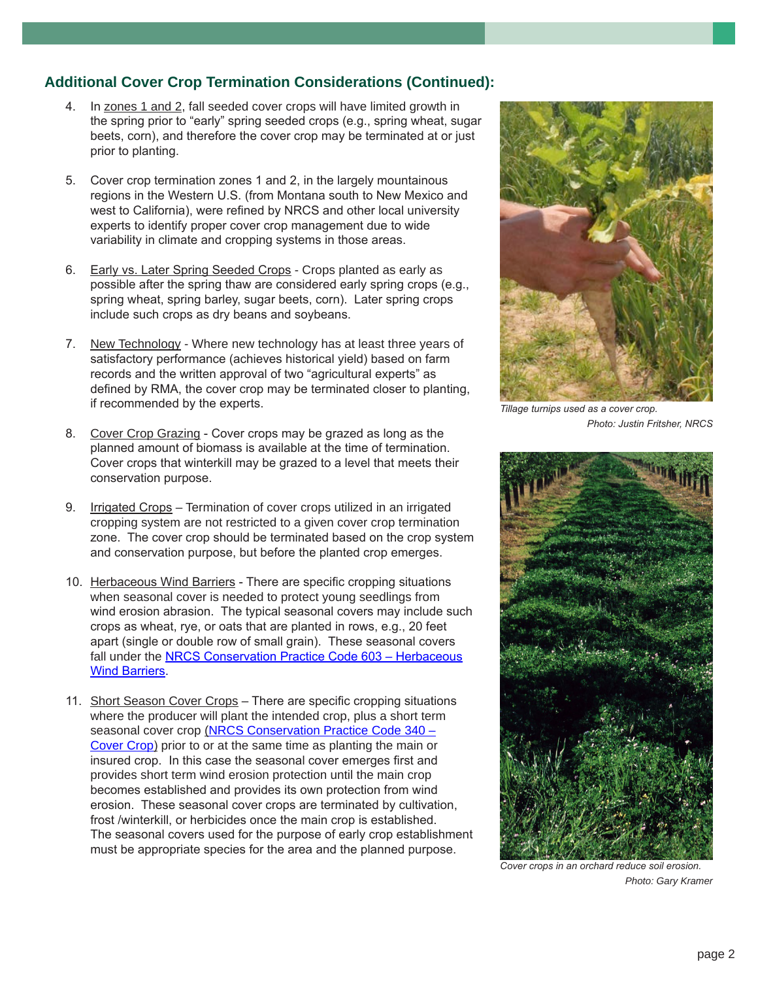## **Additional Cover Crop Termination Considerations (Continued):**

- 4. In zones 1 and 2, fall seeded cover crops will have limited growth in the spring prior to "early" spring seeded crops (e.g., spring wheat, sugar beets, corn), and therefore the cover crop may be terminated at or just prior to planting.
- 5. Cover crop termination zones 1 and 2, in the largely mountainous regions in the Western U.S. (from Montana south to New Mexico and west to California), were refined by NRCS and other local university experts to identify proper cover crop management due to wide variability in climate and cropping systems in those areas.
- 6. Early vs. Later Spring Seeded Crops Crops planted as early as possible after the spring thaw are considered early spring crops (e.g., spring wheat, spring barley, sugar beets, corn). Later spring crops include such crops as dry beans and soybeans.
- 7. New Technology Where new technology has at least three years of satisfactory performance (achieves historical yield) based on farm records and the written approval of two "agricultural experts" as defined by RMA, the cover crop may be terminated closer to planting, if recommended by the experts.
- 8. Cover Crop Grazing Cover crops may be grazed as long as the planned amount of biomass is available at the time of termination. Cover crops that winterkill may be grazed to a level that meets their conservation purpose.
- 9. Irrigated Crops Termination of cover crops utilized in an irrigated cropping system are not restricted to a given cover crop termination zone. The cover crop should be terminated based on the crop system and conservation purpose, but before the planted crop emerges.
- 10. Herbaceous Wind Barriers There are specific cropping situations when seasonal cover is needed to protect young seedlings from wind erosion abrasion. The typical seasonal covers may include such crops as wheat, rye, or oats that are planted in rows, e.g., 20 feet apart (single or double row of small grain). These seasonal covers fall under the NRCS Conservation Practice Code 603 – Herbaceous Wind Barriers.
- 11. Short Season Cover Crops There are specific cropping situations where the producer will plant the intended crop, plus a short term seasonal cover crop (NRCS Conservation Practice Code 340 – Cover Crop) prior to or at the same time as planting the main or insured crop. In this case the seasonal cover emerges first and provides short term wind erosion protection until the main crop becomes established and provides its own protection from wind erosion. These seasonal cover crops are terminated by cultivation, frost /winterkill, or herbicides once the main crop is established. The seasonal covers used for the purpose of early crop establishment must be appropriate species for the area and the planned purpose.



*Tillage turnips used as a cover crop. Photo: Justin Fritsher, NRCS*



*Cover crops in an orchard reduce soil erosion. Photo: Gary Kramer*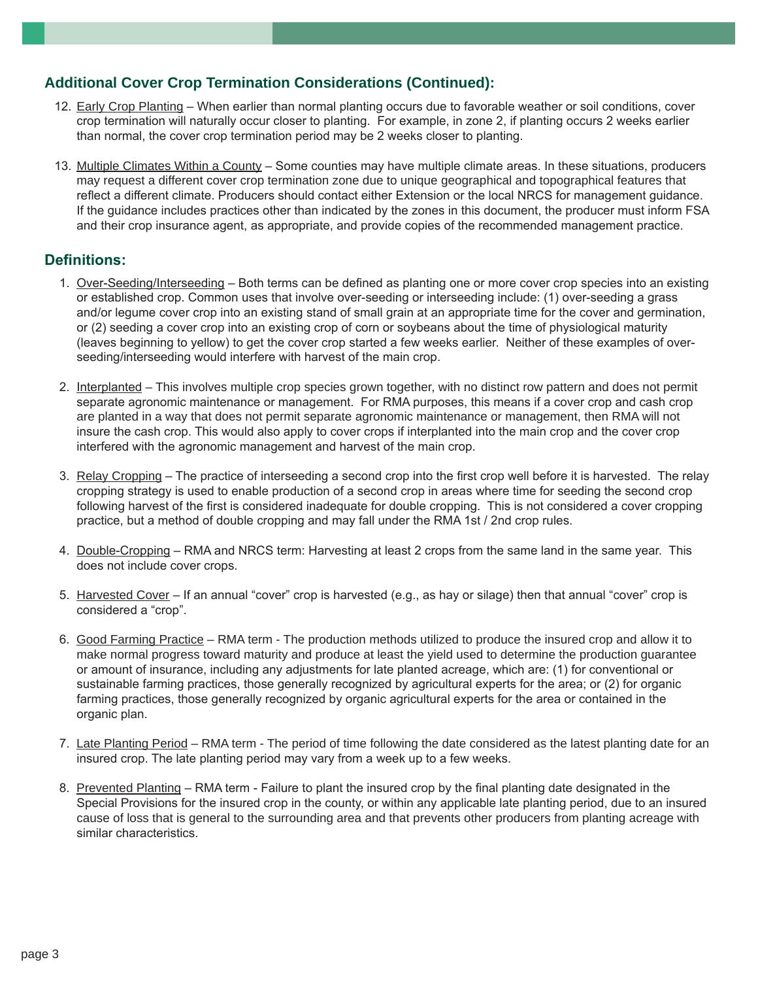### **Additional Cover Crop Termination Considerations (Continued):**

- 12. Early Crop Planting When earlier than normal planting occurs due to favorable weather or soil conditions, cover crop termination will naturally occur closer to planting. For example, in zone 2, if planting occurs 2 weeks earlier than normal, the cover crop termination period may be 2 weeks closer to planting.
- 13. Multiple Climates Within a County Some counties may have multiple climate areas. In these situations, producers may request a different cover crop termination zone due to unique geographical and topographical features that reflect a different climate. Producers should contact either Extension or the local NRCS for management guidance. If the guidance includes practices other than indicated by the zones in this document, the producer must inform FSA and their crop insurance agent, as appropriate, and provide copies of the recommended management practice.

### **Definitions:**

- 1. Over-Seeding/Interseeding Both terms can be defined as planting one or more cover crop species into an existing or established crop. Common uses that involve over-seeding or interseeding include: (1) over-seeding a grass and/or legume cover crop into an existing stand of small grain at an appropriate time for the cover and germination, or (2) seeding a cover crop into an existing crop of corn or soybeans about the time of physiological maturity (leaves beginning to yellow) to get the cover crop started a few weeks earlier. Neither of these examples of overseeding/interseeding would interfere with harvest of the main crop.
- 2. Interplanted This involves multiple crop species grown together, with no distinct row pattern and does not permit separate agronomic maintenance or management. For RMA purposes, this means if a cover crop and cash crop are planted in a way that does not permit separate agronomic maintenance or management, then RMA will not insure the cash crop. This would also apply to cover crops if interplanted into the main crop and the cover crop interfered with the agronomic management and harvest of the main crop.
- 3. Relay Cropping The practice of interseeding a second crop into the first crop well before it is harvested. The relay cropping strategy is used to enable production of a second crop in areas where time for seeding the second crop following harvest of the first is considered inadequate for double cropping. This is not considered a cover cropping practice, but a method of double cropping and may fall under the RMA 1st / 2nd crop rules.
- 4. Double-Cropping RMA and NRCS term: Harvesting at least 2 crops from the same land in the same year. This does not include cover crops.
- 5. Harvested Cover If an annual "cover" crop is harvested (e.g., as hay or silage) then that annual "cover" crop is considered a "crop".
- 6. Good Farming Practice RMA term The production methods utilized to produce the insured crop and allow it to make normal progress toward maturity and produce at least the yield used to determine the production guarantee or amount of insurance, including any adjustments for late planted acreage, which are: (1) for conventional or sustainable farming practices, those generally recognized by agricultural experts for the area; or (2) for organic farming practices, those generally recognized by organic agricultural experts for the area or contained in the organic plan.
- 7. Late Planting Period RMA term The period of time following the date considered as the latest planting date for an insured crop. The late planting period may vary from a week up to a few weeks.
- 8. Prevented Planting RMA term Failure to plant the insured crop by the final planting date designated in the Special Provisions for the insured crop in the county, or within any applicable late planting period, due to an insured cause of loss that is general to the surrounding area and that prevents other producers from planting acreage with similar characteristics.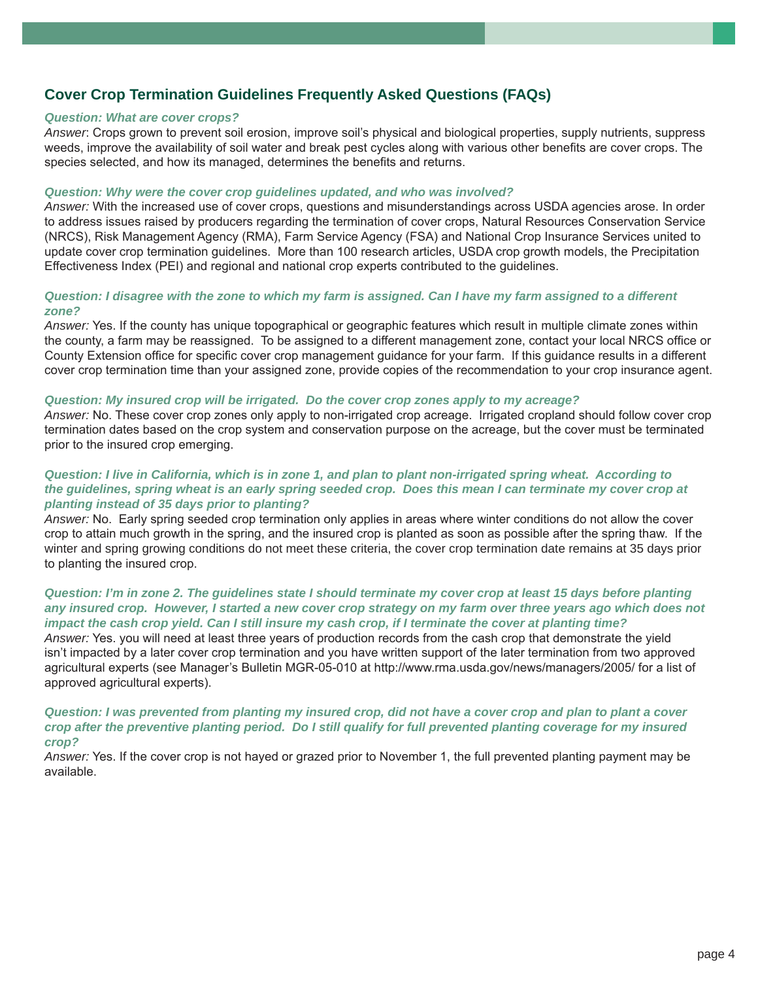# **Cover Crop Termination Guidelines Frequently Asked Questions (FAQs)**

#### *Question: What are cover crops?*

*Answer*: Crops grown to prevent soil erosion, improve soil's physical and biological properties, supply nutrients, suppress weeds, improve the availability of soil water and break pest cycles along with various other benefits are cover crops. The species selected, and how its managed, determines the benefits and returns.

#### *Question: Why were the cover crop guidelines updated, and who was involved?*

*Answer:* With the increased use of cover crops, questions and misunderstandings across USDA agencies arose. In order to address issues raised by producers regarding the termination of cover crops, Natural Resources Conservation Service (NRCS), Risk Management Agency (RMA), Farm Service Agency (FSA) and National Crop Insurance Services united to update cover crop termination guidelines. More than 100 research articles, USDA crop growth models, the Precipitation Effectiveness Index (PEI) and regional and national crop experts contributed to the guidelines.

#### *Question: I disagree with the zone to which my farm is assigned. Can I have my farm assigned to a different zone?*

*Answer:* Yes. If the county has unique topographical or geographic features which result in multiple climate zones within the county, a farm may be reassigned. To be assigned to a different management zone, contact your local NRCS office or County Extension office for specific cover crop management guidance for your farm. If this guidance results in a different cover crop termination time than your assigned zone, provide copies of the recommendation to your crop insurance agent.

#### *Question: My insured crop will be irrigated. Do the cover crop zones apply to my acreage?*

*Answer:* No. These cover crop zones only apply to non-irrigated crop acreage. Irrigated cropland should follow cover crop termination dates based on the crop system and conservation purpose on the acreage, but the cover must be terminated prior to the insured crop emerging.

#### *Question: I live in California, which is in zone 1, and plan to plant non-irrigated spring wheat. According to the guidelines, spring wheat is an early spring seeded crop. Does this mean I can terminate my cover crop at planting instead of 35 days prior to planting?*

*Answer:* No. Early spring seeded crop termination only applies in areas where winter conditions do not allow the cover crop to attain much growth in the spring, and the insured crop is planted as soon as possible after the spring thaw. If the winter and spring growing conditions do not meet these criteria, the cover crop termination date remains at 35 days prior to planting the insured crop.

#### *Question: I'm in zone 2. The guidelines state I should terminate my cover crop at least 15 days before planting any insured crop. However, I started a new cover crop strategy on my farm over three years ago which does not impact the cash crop yield. Can I still insure my cash crop, if I terminate the cover at planting time?*

*Answer:* Yes. you will need at least three years of production records from the cash crop that demonstrate the yield isn't impacted by a later cover crop termination and you have written support of the later termination from two approved agricultural experts (see Manager's Bulletin MGR-05-010 at http://www.rma.usda.gov/news/managers/2005/ for a list of approved agricultural experts).

#### *Question: I was prevented from planting my insured crop, did not have a cover crop and plan to plant a cover*  crop after the preventive planting period. Do I still qualify for full prevented planting coverage for my insured *crop?*

*Answer:* Yes. If the cover crop is not hayed or grazed prior to November 1, the full prevented planting payment may be available.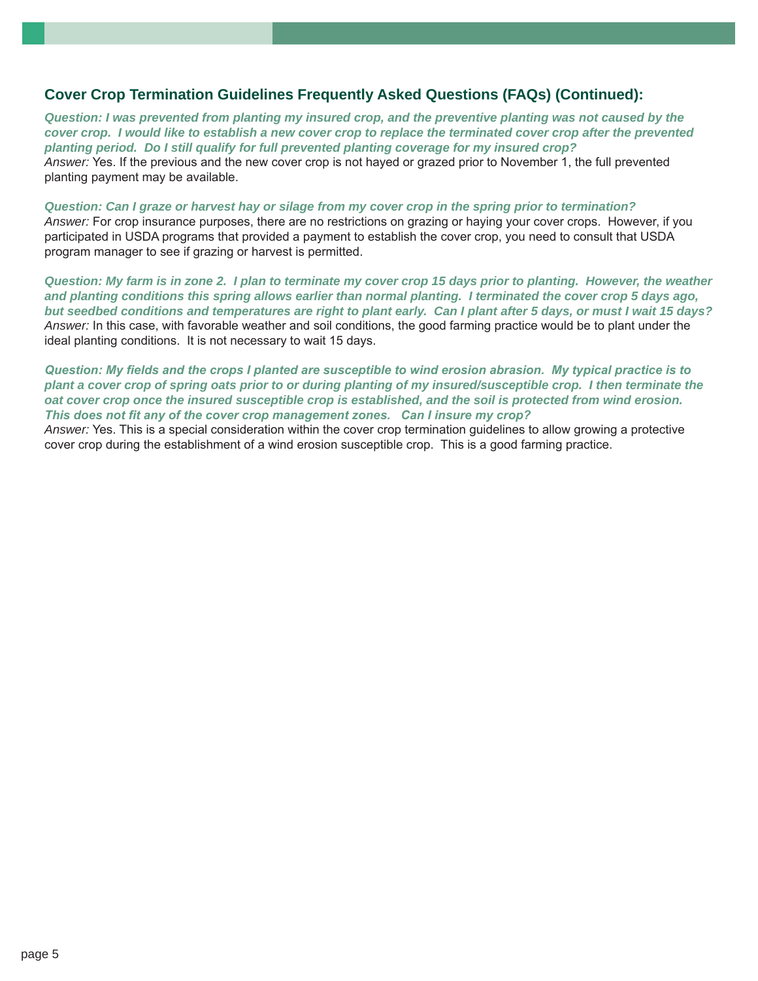### **Cover Crop Termination Guidelines Frequently Asked Questions (FAQs) (Continued):**

*Question: I was prevented from planting my insured crop, and the preventive planting was not caused by the cover crop. I would like to establish a new cover crop to replace the terminated cover crop after the prevented planting period. Do I still qualify for full prevented planting coverage for my insured crop? Answer:* Yes. If the previous and the new cover crop is not hayed or grazed prior to November 1, the full prevented planting payment may be available.

*Question: Can I graze or harvest hay or silage from my cover crop in the spring prior to termination? Answer:* For crop insurance purposes, there are no restrictions on grazing or haying your cover crops. However, if you participated in USDA programs that provided a payment to establish the cover crop, you need to consult that USDA program manager to see if grazing or harvest is permitted.

*Question: My farm is in zone 2. I plan to terminate my cover crop 15 days prior to planting. However, the weather*  and planting conditions this spring allows earlier than normal planting. I terminated the cover crop 5 days ago, *but seedbed conditions and temperatures are right to plant early. Can I plant after 5 days, or must I wait 15 days? Answer:* In this case, with favorable weather and soil conditions, the good farming practice would be to plant under the ideal planting conditions. It is not necessary to wait 15 days.

*Question: My fields and the crops I planted are susceptible to wind erosion abrasion. My typical practice is to plant a cover crop of spring oats prior to or during planting of my insured/susceptible crop. I then terminate the oat cover crop once the insured susceptible crop is established, and the soil is protected from wind erosion. This does not fit any of the cover crop management zones. Can I insure my crop?* 

*Answer:* Yes. This is a special consideration within the cover crop termination guidelines to allow growing a protective cover crop during the establishment of a wind erosion susceptible crop. This is a good farming practice.